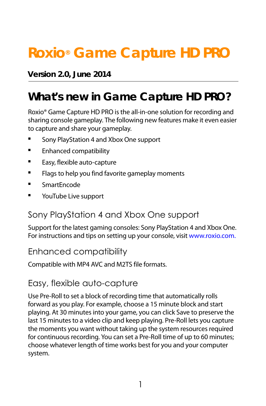# **Roxio® Game Capture HD PRO**

## **Version 2.0, June 2014**

## **What's new in Game Capture HD PRO?**

Roxio® Game Capture HD PRO is the all-in-one solution for recording and sharing console gameplay. The following new features make it even easier to capture and share your gameplay.

- [Sony PlayStation 4 and Xbox One support](#page-0-1)
- [Enhanced compatibility](#page-0-0)
- **[Easy, flexible auto-capture](#page-0-2)**
- **Filags to help you find favorite gameplay moments**
- Smart[Encode](#page-1-1)
- **The VouTube Live support**

## <span id="page-0-1"></span>Sony PlayStation 4 and Xbox One support

Support for the latest gaming consoles: Sony PlayStation 4 and Xbox One. For instructions and tips on setting up your console, visit [www.roxio.com](http://redirect2.roxio.com/RedirectServer/default.aspx?PROD=59&SRNM=MV-NZTPM-VLX90-2335Z&LANG=enu&type=doc&TLA=vid).

## Enhanced compatibility

<span id="page-0-0"></span>Compatible with MP4 AVC and M2TS file formats.

## Easy, flexible auto-capture

<span id="page-0-2"></span>Use Pre-Roll to set a block of recording time that automatically rolls forward as you play. For example, choose a 15 minute block and start playing. At 30 minutes into your game, you can click Save to preserve the last 15 minutes to a video clip and keep playing. Pre-Roll lets you capture the moments you want without taking up the system resources required for continuous recording. You can set a Pre-Roll time of up to 60 minutes; choose whatever length of time works best for you and your computer system.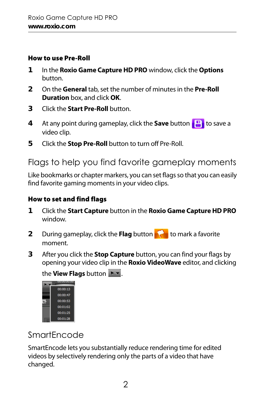#### How to use Pre-Roll

- **1** In the **Roxio Game Capture HD PRO** window, click the **Options** button.
- **2** On the **General** tab, set the number of minutes in the **Pre-Roll Duration** box, and click **OK**.
- **3** Click the **Start Pre-Roll** button.
- **4** At any point during gameplay, click the **Save** button **the same a** video clip.
- **5** Click the **Stop Pre-Roll** button to turn off Pre-Roll.

## <span id="page-1-0"></span>Flags to help you find favorite gameplay moments

Like bookmarks or chapter markers, you can set flags so that you can easily find favorite gaming moments in your video clips.

#### How to set and find flags

- **1** Click the **Start Capture** button in the **Roxio Game Capture HD PRO** window.
- **2** During gameplay, click the **Flag** button **that** to mark a favorite moment.
- **3** After you click the **Stop Capture** button, you can find your flags by opening your video clip in the **Roxio VideoWave** editor, and clicking

the **View Flags** button **Prodit** 



## <span id="page-1-1"></span>SmartEncode

SmartEncode lets you substantially reduce rendering time for edited videos by selectively rendering only the parts of a video that have changed.